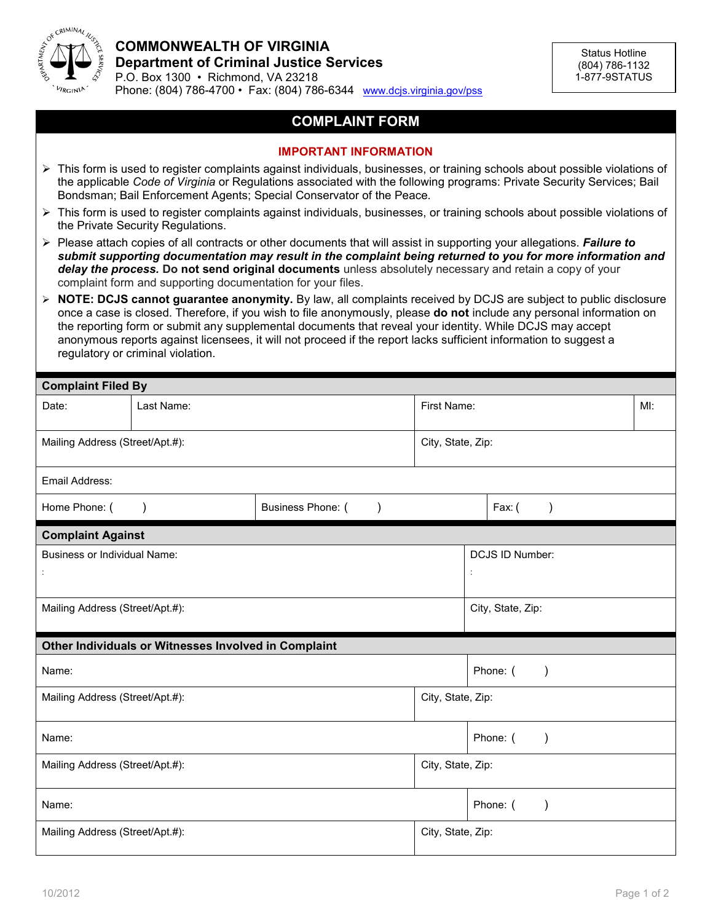

## **COMPLAINT FORM**

## **IMPORTANT INFORMATION**

- $\triangleright$  This form is used to register complaints against individuals, businesses, or training schools about possible violations of the applicable *Code of Virginia* or Regulations associated with the following programs: Private Security Services; Bail Bondsman; Bail Enforcement Agents; Special Conservator of the Peace.
- $\triangleright$  This form is used to register complaints against individuals, businesses, or training schools about possible violations of the Private Security Regulations.
- Please attach copies of all contracts or other documents that will assist in supporting your allegations. *Failure to submit supporting documentation may result in the complaint being returned to you for more information and delay the process.* **Do not send original documents** unless absolutely necessary and retain a copy of your complaint form and supporting documentation for your files.
- **NOTE: DCJS cannot guarantee anonymity.** By law, all complaints received by DCJS are subject to public disclosure once a case is closed. Therefore, if you wish to file anonymously, please **do not** include any personal information on the reporting form or submit any supplemental documents that reveal your identity. While DCJS may accept anonymous reports against licensees, it will not proceed if the report lacks sufficient information to suggest a regulatory or criminal violation.

| <b>Complaint Filed By</b>                                   |            |                   |                                         |                           |     |  |  |
|-------------------------------------------------------------|------------|-------------------|-----------------------------------------|---------------------------|-----|--|--|
| Date:                                                       | Last Name: |                   | First Name:                             |                           | MI: |  |  |
| Mailing Address (Street/Apt.#):                             |            |                   | City, State, Zip:                       |                           |     |  |  |
| Email Address:                                              |            |                   |                                         |                           |     |  |  |
| Home Phone: (                                               | $\lambda$  | Business Phone: ( |                                         | Fax: (                    |     |  |  |
| <b>Complaint Against</b>                                    |            |                   |                                         |                           |     |  |  |
| <b>Business or Individual Name:</b><br>$\ddot{\phantom{a}}$ |            |                   | DCJS ID Number:<br>$\ddot{\phantom{a}}$ |                           |     |  |  |
| Mailing Address (Street/Apt.#):                             |            |                   |                                         | City, State, Zip:         |     |  |  |
| Other Individuals or Witnesses Involved in Complaint        |            |                   |                                         |                           |     |  |  |
| Name:                                                       |            |                   | Phone: (<br>$\lambda$                   |                           |     |  |  |
| Mailing Address (Street/Apt.#):                             |            |                   | City, State, Zip:                       |                           |     |  |  |
| Name:                                                       |            |                   | Phone: (<br>$\mathcal{E}$               |                           |     |  |  |
| Mailing Address (Street/Apt.#):                             |            |                   | City, State, Zip:                       |                           |     |  |  |
| Name:                                                       |            |                   |                                         | Phone: (<br>$\mathcal{E}$ |     |  |  |
| Mailing Address (Street/Apt.#):                             |            |                   | City, State, Zip:                       |                           |     |  |  |